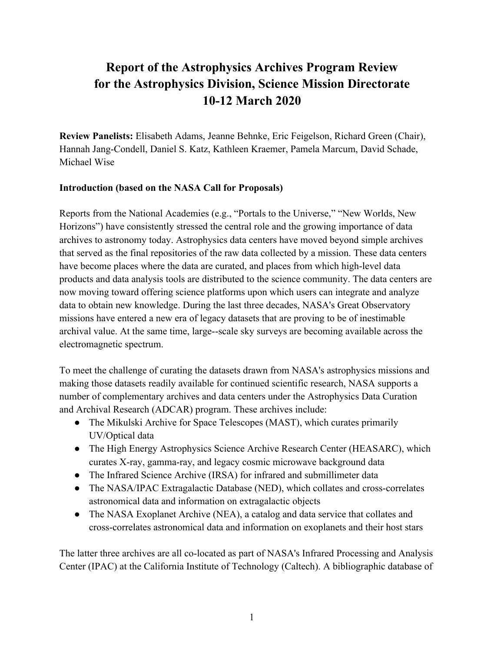# **Report of the Astrophysics Archives Program Review for the Astrophysics Division, Science Mission Directorate 10-12 March 2020**

**Review Panelists:** Elisabeth Adams, Jeanne Behnke, Eric Feigelson, Richard Green (Chair), Hannah Jang-Condell, Daniel S. Katz, Kathleen Kraemer, Pamela Marcum, David Schade, Michael Wise

## **Introduction (based on the NASA Call for Proposals)**

Reports from the National Academies (e.g., "Portals to the Universe," "New Worlds, New Horizons") have consistently stressed the central role and the growing importance of data archives to astronomy today. Astrophysics data centers have moved beyond simple archives that served as the final repositories of the raw data collected by a mission. These data centers have become places where the data are curated, and places from which high-level data products and data analysis tools are distributed to the science community. The data centers are now moving toward offering science platforms upon which users can integrate and analyze data to obtain new knowledge. During the last three decades, NASA's Great Observatory missions have entered a new era of legacy datasets that are proving to be of inestimable archival value. At the same time, large--scale sky surveys are becoming available across the electromagnetic spectrum.

To meet the challenge of curating the datasets drawn from NASA's astrophysics missions and making those datasets readily available for continued scientific research, NASA supports a number of complementary archives and data centers under the Astrophysics Data Curation and Archival Research (ADCAR) program. These archives include:

- The Mikulski Archive for Space Telescopes (MAST), which curates primarily UV/Optical data
- The High Energy Astrophysics Science Archive Research Center (HEASARC), which curates X-ray, gamma-ray, and legacy cosmic microwave background data
- The Infrared Science Archive (IRSA) for infrared and submillimeter data
- The NASA/IPAC Extragalactic Database (NED), which collates and cross-correlates astronomical data and information on extragalactic objects
- The NASA Exoplanet Archive (NEA), a catalog and data service that collates and cross-correlates astronomical data and information on exoplanets and their host stars

The latter three archives are all co-located as part of NASA's Infrared Processing and Analysis Center (IPAC) at the California Institute of Technology (Caltech). A bibliographic database of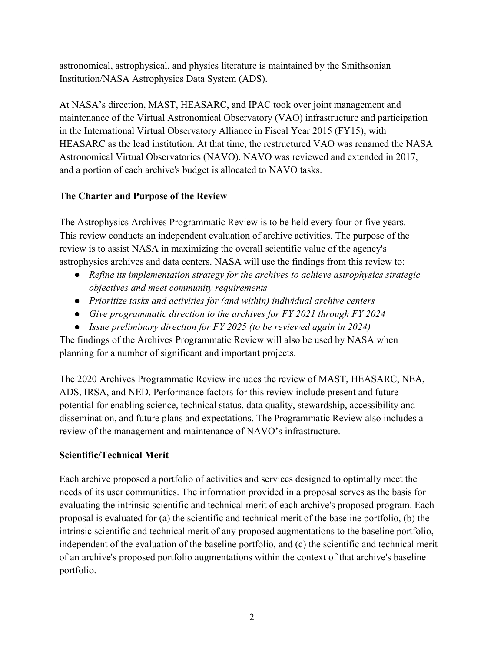astronomical, astrophysical, and physics literature is maintained by the Smithsonian Institution/NASA Astrophysics Data System (ADS).

At NASA's direction, MAST, HEASARC, and IPAC took over joint management and maintenance of the Virtual Astronomical Observatory (VAO) infrastructure and participation in the International Virtual Observatory Alliance in Fiscal Year 2015 (FY15), with HEASARC as the lead institution. At that time, the restructured VAO was renamed the NASA Astronomical Virtual Observatories (NAVO). NAVO was reviewed and extended in 2017, and a portion of each archive's budget is allocated to NAVO tasks.

## **The Charter and Purpose of the Review**

The Astrophysics Archives Programmatic Review is to be held every four or five years. This review conducts an independent evaluation of archive activities. The purpose of the review is to assist NASA in maximizing the overall scientific value of the agency's astrophysics archives and data centers. NASA will use the findings from this review to:

- *Refine its implementation strategy for the archives to achieve astrophysics strategic objectives and meet community requirements*
- *Prioritize tasks and activities for (and within) individual archive centers*
- *Give programmatic direction to the archives for FY 2021 through FY 2024*
- *Issue preliminary direction for FY 2025 (to be reviewed again in 2024)*

The findings of the Archives Programmatic Review will also be used by NASA when planning for a number of significant and important projects.

The 2020 Archives Programmatic Review includes the review of MAST, HEASARC, NEA, ADS, IRSA, and NED. Performance factors for this review include present and future potential for enabling science, technical status, data quality, stewardship, accessibility and dissemination, and future plans and expectations. The Programmatic Review also includes a review of the management and maintenance of NAVO's infrastructure.

## **Scientific/Technical Merit**

Each archive proposed a portfolio of activities and services designed to optimally meet the needs of its user communities. The information provided in a proposal serves as the basis for evaluating the intrinsic scientific and technical merit of each archive's proposed program. Each proposal is evaluated for (a) the scientific and technical merit of the baseline portfolio, (b) the intrinsic scientific and technical merit of any proposed augmentations to the baseline portfolio, independent of the evaluation of the baseline portfolio, and (c) the scientific and technical merit of an archive's proposed portfolio augmentations within the context of that archive's baseline portfolio.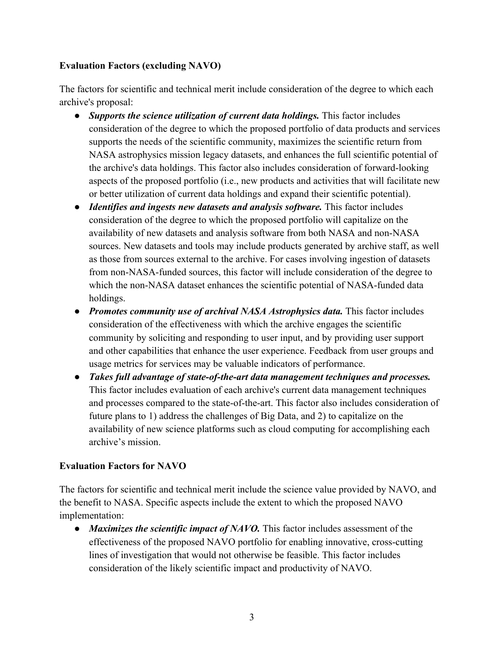#### **Evaluation Factors (excluding NAVO)**

The factors for scientific and technical merit include consideration of the degree to which each archive's proposal:

- *Supports the science utilization of current data holdings.* This factor includes consideration of the degree to which the proposed portfolio of data products and services supports the needs of the scientific community, maximizes the scientific return from NASA astrophysics mission legacy datasets, and enhances the full scientific potential of the archive's data holdings. This factor also includes consideration of forward-looking aspects of the proposed portfolio (i.e., new products and activities that will facilitate new or better utilization of current data holdings and expand their scientific potential).
- *Identifies and ingests new datasets and analysis software.* This factor includes consideration of the degree to which the proposed portfolio will capitalize on the availability of new datasets and analysis software from both NASA and non-NASA sources. New datasets and tools may include products generated by archive staff, as well as those from sources external to the archive. For cases involving ingestion of datasets from non-NASA-funded sources, this factor will include consideration of the degree to which the non-NASA dataset enhances the scientific potential of NASA-funded data holdings.
- *Promotes community use of archival NASA Astrophysics data.* This factor includes consideration of the effectiveness with which the archive engages the scientific community by soliciting and responding to user input, and by providing user support and other capabilities that enhance the user experience. Feedback from user groups and usage metrics for services may be valuable indicators of performance.
- *Takes full advantage of state-of-the-art data management techniques and processes.*  This factor includes evaluation of each archive's current data management techniques and processes compared to the state-of-the-art. This factor also includes consideration of future plans to 1) address the challenges of Big Data, and 2) to capitalize on the availability of new science platforms such as cloud computing for accomplishing each archive's mission.

## **Evaluation Factors for NAVO**

The factors for scientific and technical merit include the science value provided by NAVO, and the benefit to NASA. Specific aspects include the extent to which the proposed NAVO implementation:

• *Maximizes the scientific impact of NAVO*. This factor includes assessment of the effectiveness of the proposed NAVO portfolio for enabling innovative, cross-cutting lines of investigation that would not otherwise be feasible. This factor includes consideration of the likely scientific impact and productivity of NAVO.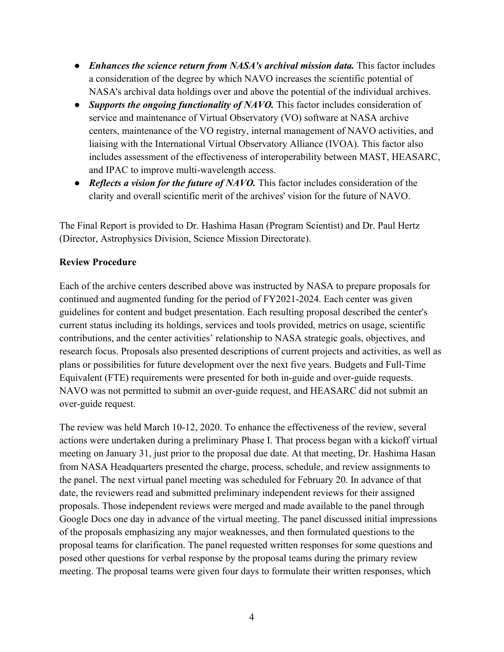- *Enhances the science return from NASA's archival mission data*. This factor includes a consideration of the degree by which NAVO increases the scientific potential of NASA's archival data holdings over and above the potential of the individual archives.
- *Supports the ongoing functionality of NAVO*. This factor includes consideration of service and maintenance of Virtual Observatory (VO) software at NASA archive centers, maintenance of the VO registry, internal management of NAVO activities, and liaising with the International Virtual Observatory Alliance (IVOA). This factor also includes assessment of the effectiveness of interoperability between MAST, HEASARC, and IPAC to improve multi-wavelength access.
- *Reflects a vision for the future of NAVO*. This factor includes consideration of the clarity and overall scientific merit of the archives' vision for the future of NAVO.

The Final Report is provided to Dr. Hashima Hasan (Program Scientist) and Dr. Paul Hertz (Director, Astrophysics Division, Science Mission Directorate).

#### **Review Procedure**

Each of the archive centers described above was instructed by NASA to prepare proposals for continued and augmented funding for the period of FY2021-2024. Each center was given guidelines for content and budget presentation. Each resulting proposal described the center's current status including its holdings, services and tools provided, metrics on usage, scientific contributions, and the center activities' relationship to NASA strategic goals, objectives, and research focus. Proposals also presented descriptions of current projects and activities, as well as plans or possibilities for future development over the next five years. Budgets and Full-Time Equivalent (FTE) requirements were presented for both in-guide and over-guide requests. NAVO was not permitted to submit an over-guide request, and HEASARC did not submit an over-guide request.

The review was held March 10-12, 2020. To enhance the effectiveness of the review, several actions were undertaken during a preliminary Phase I. That process began with a kickoff virtual meeting on January 31, just prior to the proposal due date. At that meeting, Dr. Hashima Hasan from NASA Headquarters presented the charge, process, schedule, and review assignments to the panel. The next virtual panel meeting was scheduled for February 20. In advance of that date, the reviewers read and submitted preliminary independent reviews for their assigned proposals. Those independent reviews were merged and made available to the panel through Google Docs one day in advance of the virtual meeting. The panel discussed initial impressions of the proposals emphasizing any major weaknesses, and then formulated questions to the proposal teams for clarification. The panel requested written responses for some questions and posed other questions for verbal response by the proposal teams during the primary review meeting. The proposal teams were given four days to formulate their written responses, which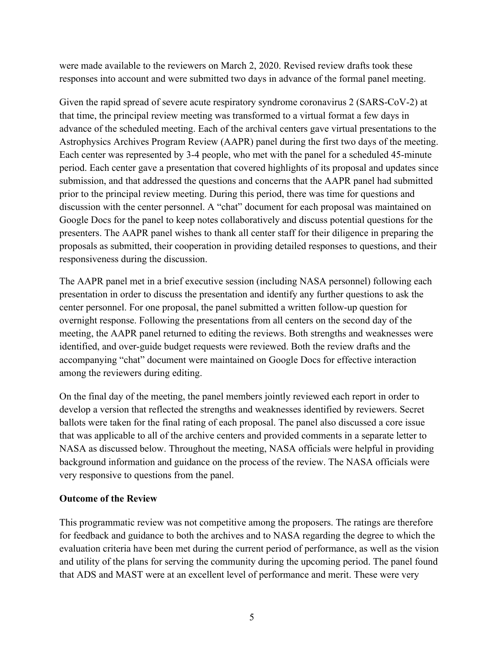were made available to the reviewers on March 2, 2020. Revised review drafts took these responses into account and were submitted two days in advance of the formal panel meeting.

Given the rapid spread of severe acute respiratory syndrome coronavirus 2 (SARS-CoV-2) at that time, the principal review meeting was transformed to a virtual format a few days in advance of the scheduled meeting. Each of the archival centers gave virtual presentations to the Astrophysics Archives Program Review (AAPR) panel during the first two days of the meeting. Each center was represented by 3-4 people, who met with the panel for a scheduled 45-minute period. Each center gave a presentation that covered highlights of its proposal and updates since submission, and that addressed the questions and concerns that the AAPR panel had submitted prior to the principal review meeting. During this period, there was time for questions and discussion with the center personnel. A "chat" document for each proposal was maintained on Google Docs for the panel to keep notes collaboratively and discuss potential questions for the presenters. The AAPR panel wishes to thank all center staff for their diligence in preparing the proposals as submitted, their cooperation in providing detailed responses to questions, and their responsiveness during the discussion.

The AAPR panel met in a brief executive session (including NASA personnel) following each presentation in order to discuss the presentation and identify any further questions to ask the center personnel. For one proposal, the panel submitted a written follow-up question for overnight response. Following the presentations from all centers on the second day of the meeting, the AAPR panel returned to editing the reviews. Both strengths and weaknesses were identified, and over-guide budget requests were reviewed. Both the review drafts and the accompanying "chat" document were maintained on Google Docs for effective interaction among the reviewers during editing.

On the final day of the meeting, the panel members jointly reviewed each report in order to develop a version that reflected the strengths and weaknesses identified by reviewers. Secret ballots were taken for the final rating of each proposal. The panel also discussed a core issue that was applicable to all of the archive centers and provided comments in a separate letter to NASA as discussed below. Throughout the meeting, NASA officials were helpful in providing background information and guidance on the process of the review. The NASA officials were very responsive to questions from the panel.

#### **Outcome of the Review**

This programmatic review was not competitive among the proposers. The ratings are therefore for feedback and guidance to both the archives and to NASA regarding the degree to which the evaluation criteria have been met during the current period of performance, as well as the vision and utility of the plans for serving the community during the upcoming period. The panel found that ADS and MAST were at an excellent level of performance and merit. These were very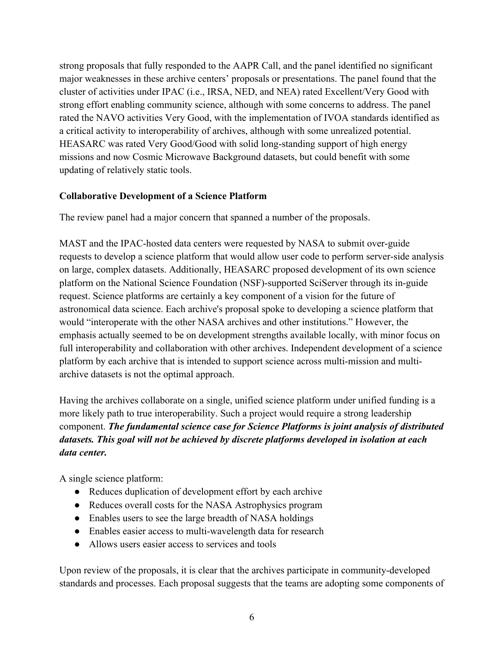strong proposals that fully responded to the AAPR Call, and the panel identified no significant major weaknesses in these archive centers' proposals or presentations. The panel found that the cluster of activities under IPAC (i.e., IRSA, NED, and NEA) rated Excellent/Very Good with strong effort enabling community science, although with some concerns to address. The panel rated the NAVO activities Very Good, with the implementation of IVOA standards identified as a critical activity to interoperability of archives, although with some unrealized potential. HEASARC was rated Very Good/Good with solid long-standing support of high energy missions and now Cosmic Microwave Background datasets, but could benefit with some updating of relatively static tools.

#### **Collaborative Development of a Science Platform**

The review panel had a major concern that spanned a number of the proposals.

MAST and the IPAC-hosted data centers were requested by NASA to submit over-guide requests to develop a science platform that would allow user code to perform server-side analysis on large, complex datasets. Additionally, HEASARC proposed development of its own science platform on the National Science Foundation (NSF)-supported SciServer through its in-guide request. Science platforms are certainly a key component of a vision for the future of astronomical data science. Each archive's proposal spoke to developing a science platform that would "interoperate with the other NASA archives and other institutions." However, the emphasis actually seemed to be on development strengths available locally, with minor focus on full interoperability and collaboration with other archives. Independent development of a science platform by each archive that is intended to support science across multi-mission and multiarchive datasets is not the optimal approach.

Having the archives collaborate on a single, unified science platform under unified funding is a more likely path to true interoperability. Such a project would require a strong leadership component. *The fundamental science case for Science Platforms is joint analysis of distributed datasets. This goal will not be achieved by discrete platforms developed in isolation at each data center.*

A single science platform:

- Reduces duplication of development effort by each archive
- Reduces overall costs for the NASA Astrophysics program
- Enables users to see the large breadth of NASA holdings
- Enables easier access to multi-wavelength data for research
- Allows users easier access to services and tools

Upon review of the proposals, it is clear that the archives participate in community-developed standards and processes. Each proposal suggests that the teams are adopting some components of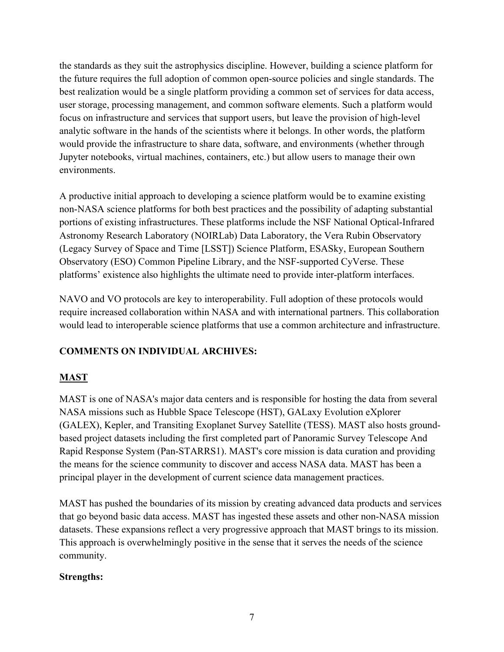the standards as they suit the astrophysics discipline. However, building a science platform for the future requires the full adoption of common open-source policies and single standards. The best realization would be a single platform providing a common set of services for data access, user storage, processing management, and common software elements. Such a platform would focus on infrastructure and services that support users, but leave the provision of high-level analytic software in the hands of the scientists where it belongs. In other words, the platform would provide the infrastructure to share data, software, and environments (whether through Jupyter notebooks, virtual machines, containers, etc.) but allow users to manage their own environments.

A productive initial approach to developing a science platform would be to examine existing non-NASA science platforms for both best practices and the possibility of adapting substantial portions of existing infrastructures. These platforms include the NSF National Optical-Infrared Astronomy Research Laboratory (NOIRLab) Data Laboratory, the Vera Rubin Observatory (Legacy Survey of Space and Time [LSST]) Science Platform, ESASky, European Southern Observatory (ESO) Common Pipeline Library, and the NSF-supported CyVerse. These platforms' existence also highlights the ultimate need to provide inter-platform interfaces.

NAVO and VO protocols are key to interoperability. Full adoption of these protocols would require increased collaboration within NASA and with international partners. This collaboration would lead to interoperable science platforms that use a common architecture and infrastructure.

## **COMMENTS ON INDIVIDUAL ARCHIVES:**

## **MAST**

MAST is one of NASA's major data centers and is responsible for hosting the data from several NASA missions such as Hubble Space Telescope (HST), GALaxy Evolution eXplorer (GALEX), Kepler, and Transiting Exoplanet Survey Satellite (TESS). MAST also hosts groundbased project datasets including the first completed part of Panoramic Survey Telescope And Rapid Response System (Pan-STARRS1). MAST's core mission is data curation and providing the means for the science community to discover and access NASA data. MAST has been a principal player in the development of current science data management practices.

MAST has pushed the boundaries of its mission by creating advanced data products and services that go beyond basic data access. MAST has ingested these assets and other non-NASA mission datasets. These expansions reflect a very progressive approach that MAST brings to its mission. This approach is overwhelmingly positive in the sense that it serves the needs of the science community.

#### **Strengths:**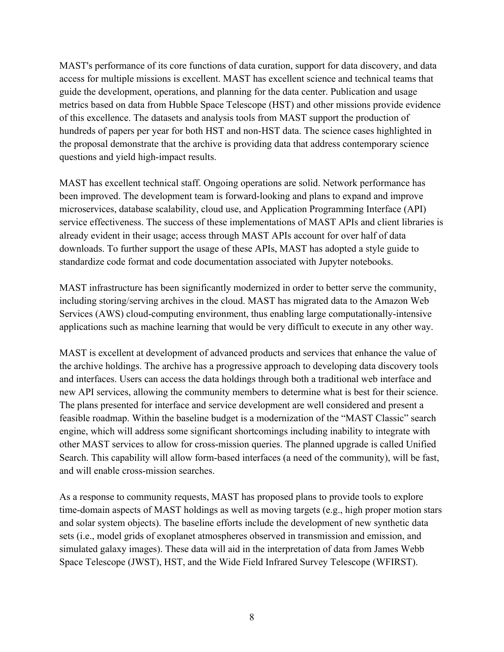MAST's performance of its core functions of data curation, support for data discovery, and data access for multiple missions is excellent. MAST has excellent science and technical teams that guide the development, operations, and planning for the data center. Publication and usage metrics based on data from Hubble Space Telescope (HST) and other missions provide evidence of this excellence. The datasets and analysis tools from MAST support the production of hundreds of papers per year for both HST and non-HST data. The science cases highlighted in the proposal demonstrate that the archive is providing data that address contemporary science questions and yield high-impact results.

MAST has excellent technical staff. Ongoing operations are solid. Network performance has been improved. The development team is forward-looking and plans to expand and improve microservices, database scalability, cloud use, and Application Programming Interface (API) service effectiveness. The success of these implementations of MAST APIs and client libraries is already evident in their usage; access through MAST APIs account for over half of data downloads. To further support the usage of these APIs, MAST has adopted a style guide to standardize code format and code documentation associated with Jupyter notebooks.

MAST infrastructure has been significantly modernized in order to better serve the community, including storing/serving archives in the cloud. MAST has migrated data to the Amazon Web Services (AWS) cloud-computing environment, thus enabling large computationally-intensive applications such as machine learning that would be very difficult to execute in any other way.

MAST is excellent at development of advanced products and services that enhance the value of the archive holdings. The archive has a progressive approach to developing data discovery tools and interfaces. Users can access the data holdings through both a traditional web interface and new API services, allowing the community members to determine what is best for their science. The plans presented for interface and service development are well considered and present a feasible roadmap. Within the baseline budget is a modernization of the "MAST Classic" search engine, which will address some significant shortcomings including inability to integrate with other MAST services to allow for cross-mission queries. The planned upgrade is called Unified Search. This capability will allow form-based interfaces (a need of the community), will be fast, and will enable cross-mission searches.

As a response to community requests, MAST has proposed plans to provide tools to explore time-domain aspects of MAST holdings as well as moving targets (e.g., high proper motion stars and solar system objects). The baseline efforts include the development of new synthetic data sets (i.e., model grids of exoplanet atmospheres observed in transmission and emission, and simulated galaxy images). These data will aid in the interpretation of data from James Webb Space Telescope (JWST), HST, and the Wide Field Infrared Survey Telescope (WFIRST).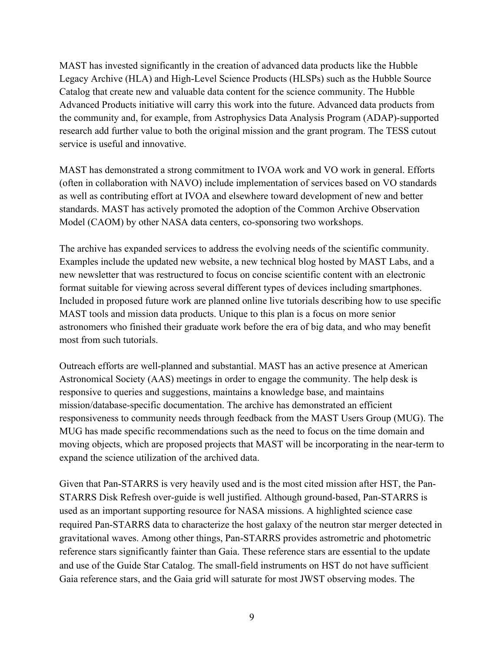MAST has invested significantly in the creation of advanced data products like the Hubble Legacy Archive (HLA) and High-Level Science Products (HLSPs) such as the Hubble Source Catalog that create new and valuable data content for the science community. The Hubble Advanced Products initiative will carry this work into the future. Advanced data products from the community and, for example, from Astrophysics Data Analysis Program (ADAP)-supported research add further value to both the original mission and the grant program. The TESS cutout service is useful and innovative.

MAST has demonstrated a strong commitment to IVOA work and VO work in general. Efforts (often in collaboration with NAVO) include implementation of services based on VO standards as well as contributing effort at IVOA and elsewhere toward development of new and better standards. MAST has actively promoted the adoption of the Common Archive Observation Model (CAOM) by other NASA data centers, co-sponsoring two workshops.

The archive has expanded services to address the evolving needs of the scientific community. Examples include the updated new website, a new technical blog hosted by MAST Labs, and a new newsletter that was restructured to focus on concise scientific content with an electronic format suitable for viewing across several different types of devices including smartphones. Included in proposed future work are planned online live tutorials describing how to use specific MAST tools and mission data products. Unique to this plan is a focus on more senior astronomers who finished their graduate work before the era of big data, and who may benefit most from such tutorials.

Outreach efforts are well-planned and substantial. MAST has an active presence at American Astronomical Society (AAS) meetings in order to engage the community. The help desk is responsive to queries and suggestions, maintains a knowledge base, and maintains mission/database-specific documentation. The archive has demonstrated an efficient responsiveness to community needs through feedback from the MAST Users Group (MUG). The MUG has made specific recommendations such as the need to focus on the time domain and moving objects, which are proposed projects that MAST will be incorporating in the near-term to expand the science utilization of the archived data.

Given that Pan-STARRS is very heavily used and is the most cited mission after HST, the Pan-STARRS Disk Refresh over-guide is well justified. Although ground-based, Pan-STARRS is used as an important supporting resource for NASA missions. A highlighted science case required Pan-STARRS data to characterize the host galaxy of the neutron star merger detected in gravitational waves. Among other things, Pan-STARRS provides astrometric and photometric reference stars significantly fainter than Gaia. These reference stars are essential to the update and use of the Guide Star Catalog. The small-field instruments on HST do not have sufficient Gaia reference stars, and the Gaia grid will saturate for most JWST observing modes. The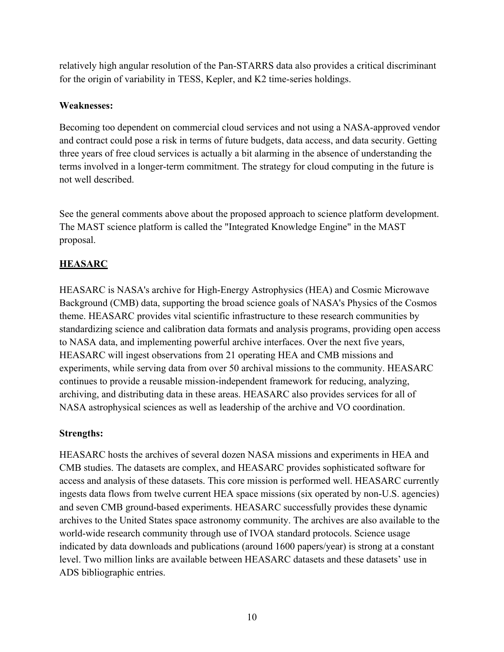relatively high angular resolution of the Pan-STARRS data also provides a critical discriminant for the origin of variability in TESS, Kepler, and K2 time-series holdings.

#### **Weaknesses:**

Becoming too dependent on commercial cloud services and not using a NASA-approved vendor and contract could pose a risk in terms of future budgets, data access, and data security. Getting three years of free cloud services is actually a bit alarming in the absence of understanding the terms involved in a longer-term commitment. The strategy for cloud computing in the future is not well described.

See the general comments above about the proposed approach to science platform development. The MAST science platform is called the "Integrated Knowledge Engine" in the MAST proposal.

# **HEASARC**

HEASARC is NASA's archive for High-Energy Astrophysics (HEA) and Cosmic Microwave Background (CMB) data, supporting the broad science goals of NASA's Physics of the Cosmos theme. HEASARC provides vital scientific infrastructure to these research communities by standardizing science and calibration data formats and analysis programs, providing open access to NASA data, and implementing powerful archive interfaces. Over the next five years, HEASARC will ingest observations from 21 operating HEA and CMB missions and experiments, while serving data from over 50 archival missions to the community. HEASARC continues to provide a reusable mission-independent framework for reducing, analyzing, archiving, and distributing data in these areas. HEASARC also provides services for all of NASA astrophysical sciences as well as leadership of the archive and VO coordination.

## **Strengths:**

HEASARC hosts the archives of several dozen NASA missions and experiments in HEA and CMB studies. The datasets are complex, and HEASARC provides sophisticated software for access and analysis of these datasets. This core mission is performed well. HEASARC currently ingests data flows from twelve current HEA space missions (six operated by non-U.S. agencies) and seven CMB ground-based experiments. HEASARC successfully provides these dynamic archives to the United States space astronomy community. The archives are also available to the world-wide research community through use of IVOA standard protocols. Science usage indicated by data downloads and publications (around 1600 papers/year) is strong at a constant level. Two million links are available between HEASARC datasets and these datasets' use in ADS bibliographic entries.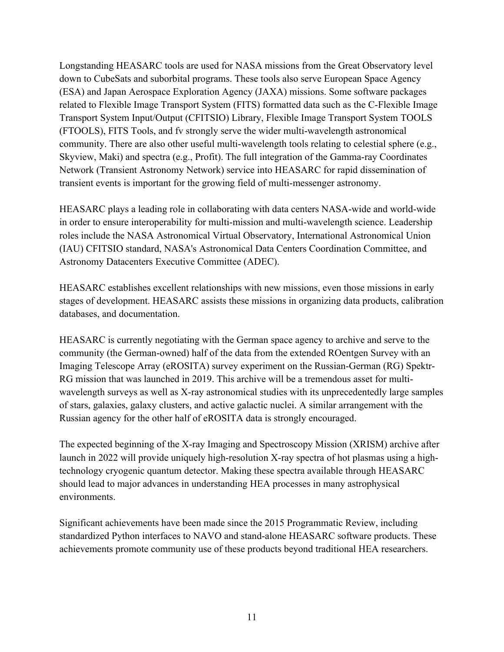Longstanding HEASARC tools are used for NASA missions from the Great Observatory level down to CubeSats and suborbital programs. These tools also serve European Space Agency (ESA) and Japan Aerospace Exploration Agency (JAXA) missions. Some software packages related to Flexible Image Transport System (FITS) formatted data such as the C-Flexible Image Transport System Input/Output (CFITSIO) Library, Flexible Image Transport System TOOLS (FTOOLS), FITS Tools, and fv strongly serve the wider multi-wavelength astronomical community. There are also other useful multi-wavelength tools relating to celestial sphere (e.g., Skyview, Maki) and spectra (e.g., Profit). The full integration of the Gamma-ray Coordinates Network (Transient Astronomy Network) service into HEASARC for rapid dissemination of transient events is important for the growing field of multi-messenger astronomy.

HEASARC plays a leading role in collaborating with data centers NASA-wide and world-wide in order to ensure interoperability for multi-mission and multi-wavelength science. Leadership roles include the NASA Astronomical Virtual Observatory, International Astronomical Union (IAU) CFITSIO standard, NASA's Astronomical Data Centers Coordination Committee, and Astronomy Datacenters Executive Committee (ADEC).

HEASARC establishes excellent relationships with new missions, even those missions in early stages of development. HEASARC assists these missions in organizing data products, calibration databases, and documentation.

HEASARC is currently negotiating with the German space agency to archive and serve to the community (the German-owned) half of the data from the extended ROentgen Survey with an Imaging Telescope Array (eROSITA) survey experiment on the Russian-German (RG) Spektr-RG mission that was launched in 2019. This archive will be a tremendous asset for multiwavelength surveys as well as X-ray astronomical studies with its unprecedentedly large samples of stars, galaxies, galaxy clusters, and active galactic nuclei. A similar arrangement with the Russian agency for the other half of eROSITA data is strongly encouraged.

The expected beginning of the X-ray Imaging and Spectroscopy Mission (XRISM) archive after launch in 2022 will provide uniquely high-resolution X-ray spectra of hot plasmas using a hightechnology cryogenic quantum detector. Making these spectra available through HEASARC should lead to major advances in understanding HEA processes in many astrophysical environments.

Significant achievements have been made since the 2015 Programmatic Review, including standardized Python interfaces to NAVO and stand-alone HEASARC software products. These achievements promote community use of these products beyond traditional HEA researchers.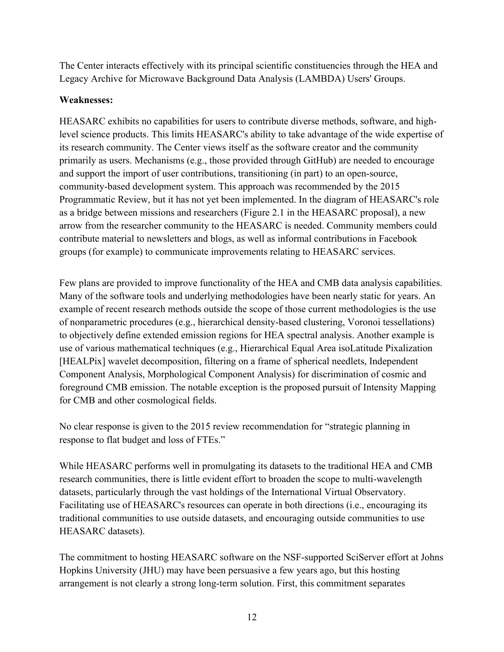The Center interacts effectively with its principal scientific constituencies through the HEA and Legacy Archive for Microwave Background Data Analysis (LAMBDA) Users' Groups.

#### **Weaknesses:**

HEASARC exhibits no capabilities for users to contribute diverse methods, software, and highlevel science products. This limits HEASARC's ability to take advantage of the wide expertise of its research community. The Center views itself as the software creator and the community primarily as users. Mechanisms (e.g., those provided through GitHub) are needed to encourage and support the import of user contributions, transitioning (in part) to an open-source, community-based development system. This approach was recommended by the 2015 Programmatic Review, but it has not yet been implemented. In the diagram of HEASARC's role as a bridge between missions and researchers (Figure 2.1 in the HEASARC proposal), a new arrow from the researcher community to the HEASARC is needed. Community members could contribute material to newsletters and blogs, as well as informal contributions in Facebook groups (for example) to communicate improvements relating to HEASARC services.

Few plans are provided to improve functionality of the HEA and CMB data analysis capabilities. Many of the software tools and underlying methodologies have been nearly static for years. An example of recent research methods outside the scope of those current methodologies is the use of nonparametric procedures (e.g., hierarchical density-based clustering, Voronoi tessellations) to objectively define extended emission regions for HEA spectral analysis. Another example is use of various mathematical techniques (e.g., Hierarchical Equal Area isoLatitude Pixalization [HEALPix] wavelet decomposition, filtering on a frame of spherical needlets, Independent Component Analysis, Morphological Component Analysis) for discrimination of cosmic and foreground CMB emission. The notable exception is the proposed pursuit of Intensity Mapping for CMB and other cosmological fields.

No clear response is given to the 2015 review recommendation for "strategic planning in response to flat budget and loss of FTEs."

While HEASARC performs well in promulgating its datasets to the traditional HEA and CMB research communities, there is little evident effort to broaden the scope to multi-wavelength datasets, particularly through the vast holdings of the International Virtual Observatory. Facilitating use of HEASARC's resources can operate in both directions (i.e., encouraging its traditional communities to use outside datasets, and encouraging outside communities to use HEASARC datasets).

The commitment to hosting HEASARC software on the NSF-supported SciServer effort at Johns Hopkins University (JHU) may have been persuasive a few years ago, but this hosting arrangement is not clearly a strong long-term solution. First, this commitment separates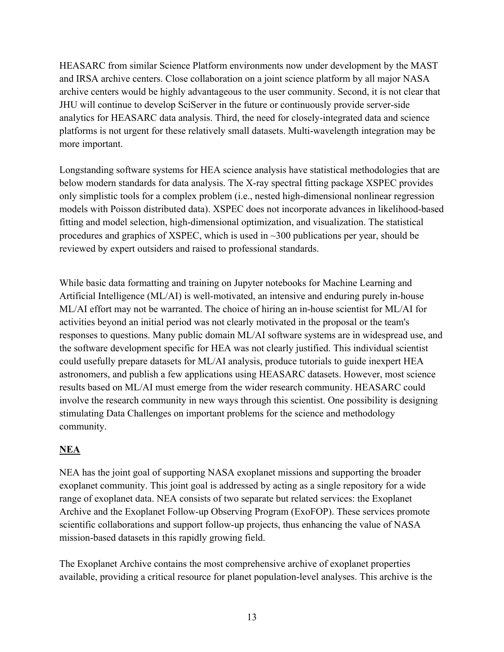HEASARC from similar Science Platform environments now under development by the MAST and IRSA archive centers. Close collaboration on a joint science platform by all major NASA archive centers would be highly advantageous to the user community. Second, it is not clear that JHU will continue to develop SciServer in the future or continuously provide server-side analytics for HEASARC data analysis. Third, the need for closely-integrated data and science platforms is not urgent for these relatively small datasets. Multi-wavelength integration may be more important.

Longstanding software systems for HEA science analysis have statistical methodologies that are below modern standards for data analysis. The X-ray spectral fitting package XSPEC provides only simplistic tools for a complex problem (i.e., nested high-dimensional nonlinear regression models with Poisson distributed data). XSPEC does not incorporate advances in likelihood-based fitting and model selection, high-dimensional optimization, and visualization. The statistical procedures and graphics of XSPEC, which is used in  $\sim$ 300 publications per year, should be reviewed by expert outsiders and raised to professional standards.

While basic data formatting and training on Jupyter notebooks for Machine Learning and Artificial Intelligence (ML/AI) is well-motivated, an intensive and enduring purely in-house ML/AI effort may not be warranted. The choice of hiring an in-house scientist for ML/AI for activities beyond an initial period was not clearly motivated in the proposal or the team's responses to questions. Many public domain ML/AI software systems are in widespread use, and the software development specific for HEA was not clearly justified. This individual scientist could usefully prepare datasets for ML/AI analysis, produce tutorials to guide inexpert HEA astronomers, and publish a few applications using HEASARC datasets. However, most science results based on ML/AI must emerge from the wider research community. HEASARC could involve the research community in new ways through this scientist. One possibility is designing stimulating Data Challenges on important problems for the science and methodology community.

# **NEA**

NEA has the joint goal of supporting NASA exoplanet missions and supporting the broader exoplanet community. This joint goal is addressed by acting as a single repository for a wide range of exoplanet data. NEA consists of two separate but related services: the Exoplanet Archive and the Exoplanet Follow-up Observing Program (ExoFOP). These services promote scientific collaborations and support follow-up projects, thus enhancing the value of NASA mission-based datasets in this rapidly growing field.

The Exoplanet Archive contains the most comprehensive archive of exoplanet properties available, providing a critical resource for planet population-level analyses. This archive is the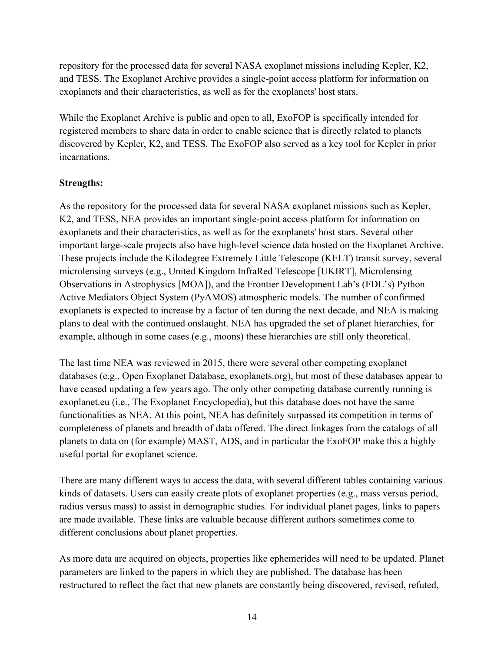repository for the processed data for several NASA exoplanet missions including Kepler, K2, and TESS. The Exoplanet Archive provides a single-point access platform for information on exoplanets and their characteristics, as well as for the exoplanets' host stars.

While the Exoplanet Archive is public and open to all, ExoFOP is specifically intended for registered members to share data in order to enable science that is directly related to planets discovered by Kepler, K2, and TESS. The ExoFOP also served as a key tool for Kepler in prior incarnations.

## **Strengths:**

As the repository for the processed data for several NASA exoplanet missions such as Kepler, K2, and TESS, NEA provides an important single-point access platform for information on exoplanets and their characteristics, as well as for the exoplanets' host stars. Several other important large-scale projects also have high-level science data hosted on the Exoplanet Archive. These projects include the Kilodegree Extremely Little Telescope (KELT) transit survey, several microlensing surveys (e.g., United Kingdom InfraRed Telescope [UKIRT], Microlensing Observations in Astrophysics [MOA]), and the Frontier Development Lab's (FDL's) Python Active Mediators Object System (PyAMOS) atmospheric models. The number of confirmed exoplanets is expected to increase by a factor of ten during the next decade, and NEA is making plans to deal with the continued onslaught. NEA has upgraded the set of planet hierarchies, for example, although in some cases (e.g., moons) these hierarchies are still only theoretical.

The last time NEA was reviewed in 2015, there were several other competing exoplanet databases (e.g., Open Exoplanet Database, exoplanets.org), but most of these databases appear to have ceased updating a few years ago. The only other competing database currently running is exoplanet.eu (i.e., The Exoplanet Encyclopedia), but this database does not have the same functionalities as NEA. At this point, NEA has definitely surpassed its competition in terms of completeness of planets and breadth of data offered. The direct linkages from the catalogs of all planets to data on (for example) MAST, ADS, and in particular the ExoFOP make this a highly useful portal for exoplanet science.

There are many different ways to access the data, with several different tables containing various kinds of datasets. Users can easily create plots of exoplanet properties (e.g., mass versus period, radius versus mass) to assist in demographic studies. For individual planet pages, links to papers are made available. These links are valuable because different authors sometimes come to different conclusions about planet properties.

As more data are acquired on objects, properties like ephemerides will need to be updated. Planet parameters are linked to the papers in which they are published. The database has been restructured to reflect the fact that new planets are constantly being discovered, revised, refuted,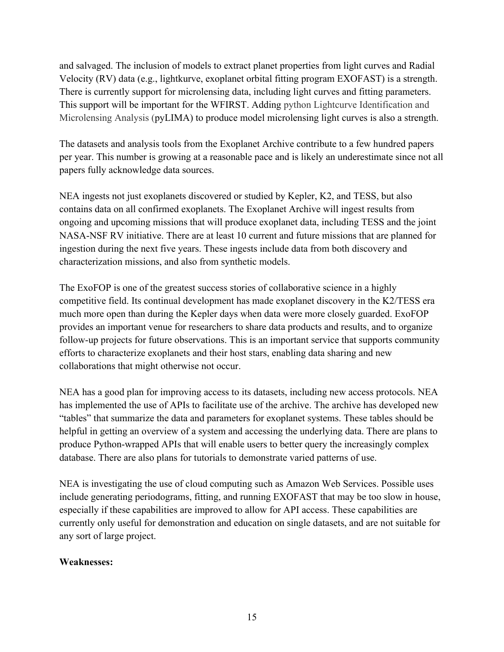and salvaged. The inclusion of models to extract planet properties from light curves and Radial Velocity (RV) data (e.g., lightkurve, exoplanet orbital fitting program EXOFAST) is a strength. There is currently support for microlensing data, including light curves and fitting parameters. This support will be important for the WFIRST. Adding python Lightcurve Identification and Microlensing Analysis (pyLIMA) to produce model microlensing light curves is also a strength.

The datasets and analysis tools from the Exoplanet Archive contribute to a few hundred papers per year. This number is growing at a reasonable pace and is likely an underestimate since not all papers fully acknowledge data sources.

NEA ingests not just exoplanets discovered or studied by Kepler, K2, and TESS, but also contains data on all confirmed exoplanets. The Exoplanet Archive will ingest results from ongoing and upcoming missions that will produce exoplanet data, including TESS and the joint NASA-NSF RV initiative. There are at least 10 current and future missions that are planned for ingestion during the next five years. These ingests include data from both discovery and characterization missions, and also from synthetic models.

The ExoFOP is one of the greatest success stories of collaborative science in a highly competitive field. Its continual development has made exoplanet discovery in the K2/TESS era much more open than during the Kepler days when data were more closely guarded. ExoFOP provides an important venue for researchers to share data products and results, and to organize follow-up projects for future observations. This is an important service that supports community efforts to characterize exoplanets and their host stars, enabling data sharing and new collaborations that might otherwise not occur.

NEA has a good plan for improving access to its datasets, including new access protocols. NEA has implemented the use of APIs to facilitate use of the archive. The archive has developed new "tables" that summarize the data and parameters for exoplanet systems. These tables should be helpful in getting an overview of a system and accessing the underlying data. There are plans to produce Python-wrapped APIs that will enable users to better query the increasingly complex database. There are also plans for tutorials to demonstrate varied patterns of use.

NEA is investigating the use of cloud computing such as Amazon Web Services. Possible uses include generating periodograms, fitting, and running EXOFAST that may be too slow in house, especially if these capabilities are improved to allow for API access. These capabilities are currently only useful for demonstration and education on single datasets, and are not suitable for any sort of large project.

#### **Weaknesses:**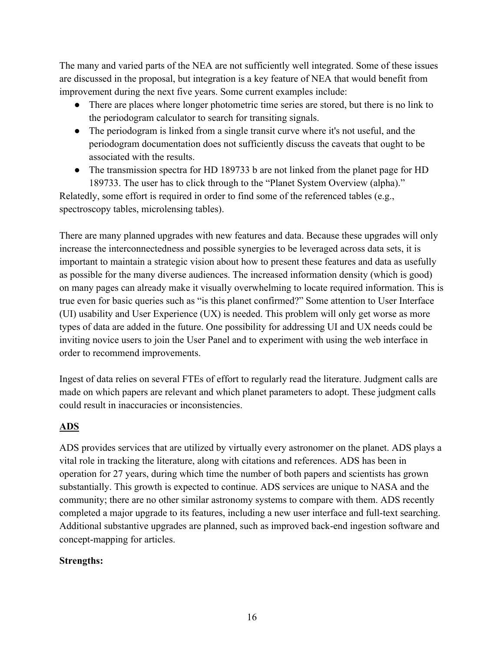The many and varied parts of the NEA are not sufficiently well integrated. Some of these issues are discussed in the proposal, but integration is a key feature of NEA that would benefit from improvement during the next five years. Some current examples include:

- There are places where longer photometric time series are stored, but there is no link to the periodogram calculator to search for transiting signals.
- The periodogram is linked from a single transit curve where it's not useful, and the periodogram documentation does not sufficiently discuss the caveats that ought to be associated with the results.
- The transmission spectra for HD 189733 b are not linked from the planet page for HD 189733. The user has to click through to the "Planet System Overview (alpha)."

Relatedly, some effort is required in order to find some of the referenced tables (e.g., spectroscopy tables, microlensing tables).

There are many planned upgrades with new features and data. Because these upgrades will only increase the interconnectedness and possible synergies to be leveraged across data sets, it is important to maintain a strategic vision about how to present these features and data as usefully as possible for the many diverse audiences. The increased information density (which is good) on many pages can already make it visually overwhelming to locate required information. This is true even for basic queries such as "is this planet confirmed?" Some attention to User Interface (UI) usability and User Experience (UX) is needed. This problem will only get worse as more types of data are added in the future. One possibility for addressing UI and UX needs could be inviting novice users to join the User Panel and to experiment with using the web interface in order to recommend improvements.

Ingest of data relies on several FTEs of effort to regularly read the literature. Judgment calls are made on which papers are relevant and which planet parameters to adopt. These judgment calls could result in inaccuracies or inconsistencies.

## **ADS**

ADS provides services that are utilized by virtually every astronomer on the planet. ADS plays a vital role in tracking the literature, along with citations and references. ADS has been in operation for 27 years, during which time the number of both papers and scientists has grown substantially. This growth is expected to continue. ADS services are unique to NASA and the community; there are no other similar astronomy systems to compare with them. ADS recently completed a major upgrade to its features, including a new user interface and full-text searching. Additional substantive upgrades are planned, such as improved back-end ingestion software and concept-mapping for articles.

#### **Strengths:**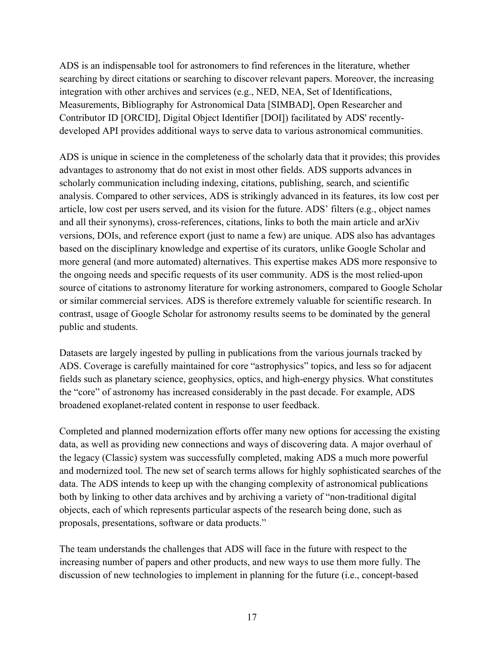ADS is an indispensable tool for astronomers to find references in the literature, whether searching by direct citations or searching to discover relevant papers. Moreover, the increasing integration with other archives and services (e.g., NED, NEA, Set of Identifications, Measurements, Bibliography for Astronomical Data [SIMBAD], Open Researcher and Contributor ID [ORCID], Digital Object Identifier [DOI]) facilitated by ADS' recentlydeveloped API provides additional ways to serve data to various astronomical communities.

ADS is unique in science in the completeness of the scholarly data that it provides; this provides advantages to astronomy that do not exist in most other fields. ADS supports advances in scholarly communication including indexing, citations, publishing, search, and scientific analysis. Compared to other services, ADS is strikingly advanced in its features, its low cost per article, low cost per users served, and its vision for the future. ADS' filters (e.g., object names and all their synonyms), cross-references, citations, links to both the main article and arXiv versions, DOIs, and reference export (just to name a few) are unique. ADS also has advantages based on the disciplinary knowledge and expertise of its curators, unlike Google Scholar and more general (and more automated) alternatives. This expertise makes ADS more responsive to the ongoing needs and specific requests of its user community. ADS is the most relied-upon source of citations to astronomy literature for working astronomers, compared to Google Scholar or similar commercial services. ADS is therefore extremely valuable for scientific research. In contrast, usage of Google Scholar for astronomy results seems to be dominated by the general public and students.

Datasets are largely ingested by pulling in publications from the various journals tracked by ADS. Coverage is carefully maintained for core "astrophysics" topics, and less so for adjacent fields such as planetary science, geophysics, optics, and high-energy physics. What constitutes the "core" of astronomy has increased considerably in the past decade. For example, ADS broadened exoplanet-related content in response to user feedback.

Completed and planned modernization efforts offer many new options for accessing the existing data, as well as providing new connections and ways of discovering data. A major overhaul of the legacy (Classic) system was successfully completed, making ADS a much more powerful and modernized tool. The new set of search terms allows for highly sophisticated searches of the data. The ADS intends to keep up with the changing complexity of astronomical publications both by linking to other data archives and by archiving a variety of "non-traditional digital objects, each of which represents particular aspects of the research being done, such as proposals, presentations, software or data products."

The team understands the challenges that ADS will face in the future with respect to the increasing number of papers and other products, and new ways to use them more fully. The discussion of new technologies to implement in planning for the future (i.e., concept-based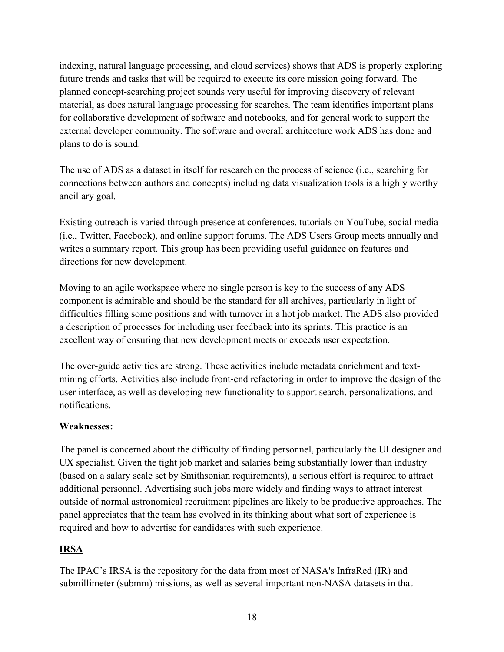indexing, natural language processing, and cloud services) shows that ADS is properly exploring future trends and tasks that will be required to execute its core mission going forward. The planned concept-searching project sounds very useful for improving discovery of relevant material, as does natural language processing for searches. The team identifies important plans for collaborative development of software and notebooks, and for general work to support the external developer community. The software and overall architecture work ADS has done and plans to do is sound.

The use of ADS as a dataset in itself for research on the process of science (i.e., searching for connections between authors and concepts) including data visualization tools is a highly worthy ancillary goal.

Existing outreach is varied through presence at conferences, tutorials on YouTube, social media (i.e., Twitter, Facebook), and online support forums. The ADS Users Group meets annually and writes a summary report. This group has been providing useful guidance on features and directions for new development.

Moving to an agile workspace where no single person is key to the success of any ADS component is admirable and should be the standard for all archives, particularly in light of difficulties filling some positions and with turnover in a hot job market. The ADS also provided a description of processes for including user feedback into its sprints. This practice is an excellent way of ensuring that new development meets or exceeds user expectation.

The over-guide activities are strong. These activities include metadata enrichment and textmining efforts. Activities also include front-end refactoring in order to improve the design of the user interface, as well as developing new functionality to support search, personalizations, and notifications.

#### **Weaknesses:**

The panel is concerned about the difficulty of finding personnel, particularly the UI designer and UX specialist. Given the tight job market and salaries being substantially lower than industry (based on a salary scale set by Smithsonian requirements), a serious effort is required to attract additional personnel. Advertising such jobs more widely and finding ways to attract interest outside of normal astronomical recruitment pipelines are likely to be productive approaches. The panel appreciates that the team has evolved in its thinking about what sort of experience is required and how to advertise for candidates with such experience.

## **IRSA**

The IPAC's IRSA is the repository for the data from most of NASA's InfraRed (IR) and submillimeter (submm) missions, as well as several important non-NASA datasets in that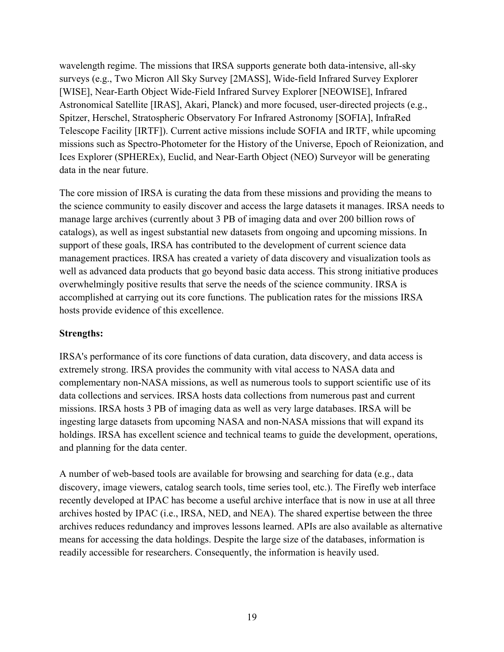wavelength regime. The missions that IRSA supports generate both data-intensive, all-sky surveys (e.g., Two Micron All Sky Survey [2MASS], Wide-field Infrared Survey Explorer [WISE], Near-Earth Object Wide-Field Infrared Survey Explorer [NEOWISE], Infrared Astronomical Satellite [IRAS], Akari, Planck) and more focused, user-directed projects (e.g., Spitzer, Herschel, Stratospheric Observatory For Infrared Astronomy [SOFIA], InfraRed Telescope Facility [IRTF]). Current active missions include SOFIA and IRTF, while upcoming missions such as Spectro-Photometer for the History of the Universe, Epoch of Reionization, and Ices Explorer (SPHEREx), Euclid, and Near-Earth Object (NEO) Surveyor will be generating data in the near future.

The core mission of IRSA is curating the data from these missions and providing the means to the science community to easily discover and access the large datasets it manages. IRSA needs to manage large archives (currently about 3 PB of imaging data and over 200 billion rows of catalogs), as well as ingest substantial new datasets from ongoing and upcoming missions. In support of these goals, IRSA has contributed to the development of current science data management practices. IRSA has created a variety of data discovery and visualization tools as well as advanced data products that go beyond basic data access. This strong initiative produces overwhelmingly positive results that serve the needs of the science community. IRSA is accomplished at carrying out its core functions. The publication rates for the missions IRSA hosts provide evidence of this excellence.

#### **Strengths:**

IRSA's performance of its core functions of data curation, data discovery, and data access is extremely strong. IRSA provides the community with vital access to NASA data and complementary non-NASA missions, as well as numerous tools to support scientific use of its data collections and services. IRSA hosts data collections from numerous past and current missions. IRSA hosts 3 PB of imaging data as well as very large databases. IRSA will be ingesting large datasets from upcoming NASA and non-NASA missions that will expand its holdings. IRSA has excellent science and technical teams to guide the development, operations, and planning for the data center.

A number of web-based tools are available for browsing and searching for data (e.g., data discovery, image viewers, catalog search tools, time series tool, etc.). The Firefly web interface recently developed at IPAC has become a useful archive interface that is now in use at all three archives hosted by IPAC (i.e., IRSA, NED, and NEA). The shared expertise between the three archives reduces redundancy and improves lessons learned. APIs are also available as alternative means for accessing the data holdings. Despite the large size of the databases, information is readily accessible for researchers. Consequently, the information is heavily used.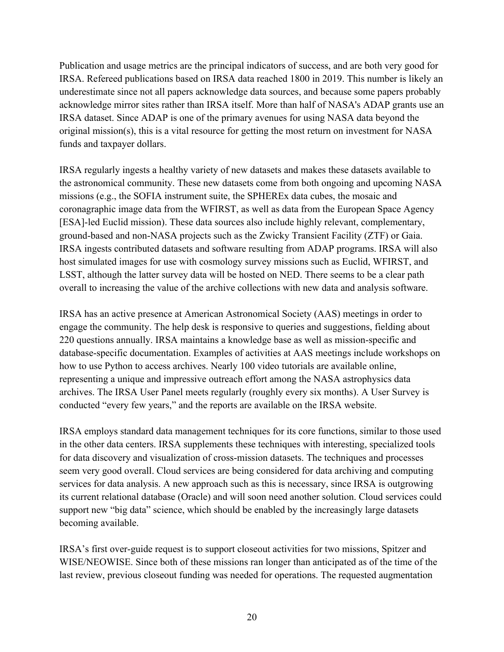Publication and usage metrics are the principal indicators of success, and are both very good for IRSA. Refereed publications based on IRSA data reached 1800 in 2019. This number is likely an underestimate since not all papers acknowledge data sources, and because some papers probably acknowledge mirror sites rather than IRSA itself. More than half of NASA's ADAP grants use an IRSA dataset. Since ADAP is one of the primary avenues for using NASA data beyond the original mission(s), this is a vital resource for getting the most return on investment for NASA funds and taxpayer dollars.

IRSA regularly ingests a healthy variety of new datasets and makes these datasets available to the astronomical community. These new datasets come from both ongoing and upcoming NASA missions (e.g., the SOFIA instrument suite, the SPHEREx data cubes, the mosaic and coronagraphic image data from the WFIRST, as well as data from the European Space Agency [ESA]-led Euclid mission). These data sources also include highly relevant, complementary, ground-based and non-NASA projects such as the Zwicky Transient Facility (ZTF) or Gaia. IRSA ingests contributed datasets and software resulting from ADAP programs. IRSA will also host simulated images for use with cosmology survey missions such as Euclid, WFIRST, and LSST, although the latter survey data will be hosted on NED. There seems to be a clear path overall to increasing the value of the archive collections with new data and analysis software.

IRSA has an active presence at American Astronomical Society (AAS) meetings in order to engage the community. The help desk is responsive to queries and suggestions, fielding about 220 questions annually. IRSA maintains a knowledge base as well as mission-specific and database-specific documentation. Examples of activities at AAS meetings include workshops on how to use Python to access archives. Nearly 100 video tutorials are available online, representing a unique and impressive outreach effort among the NASA astrophysics data archives. The IRSA User Panel meets regularly (roughly every six months). A User Survey is conducted "every few years," and the reports are available on the IRSA website.

IRSA employs standard data management techniques for its core functions, similar to those used in the other data centers. IRSA supplements these techniques with interesting, specialized tools for data discovery and visualization of cross-mission datasets. The techniques and processes seem very good overall. Cloud services are being considered for data archiving and computing services for data analysis. A new approach such as this is necessary, since IRSA is outgrowing its current relational database (Oracle) and will soon need another solution. Cloud services could support new "big data" science, which should be enabled by the increasingly large datasets becoming available.

IRSA's first over-guide request is to support closeout activities for two missions, Spitzer and WISE/NEOWISE. Since both of these missions ran longer than anticipated as of the time of the last review, previous closeout funding was needed for operations. The requested augmentation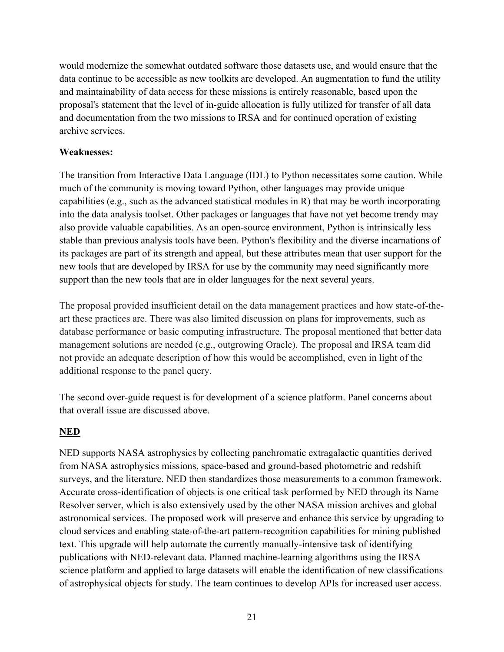would modernize the somewhat outdated software those datasets use, and would ensure that the data continue to be accessible as new toolkits are developed. An augmentation to fund the utility and maintainability of data access for these missions is entirely reasonable, based upon the proposal's statement that the level of in-guide allocation is fully utilized for transfer of all data and documentation from the two missions to IRSA and for continued operation of existing archive services.

#### **Weaknesses:**

The transition from Interactive Data Language (IDL) to Python necessitates some caution. While much of the community is moving toward Python, other languages may provide unique capabilities (e.g., such as the advanced statistical modules in R) that may be worth incorporating into the data analysis toolset. Other packages or languages that have not yet become trendy may also provide valuable capabilities. As an open-source environment, Python is intrinsically less stable than previous analysis tools have been. Python's flexibility and the diverse incarnations of its packages are part of its strength and appeal, but these attributes mean that user support for the new tools that are developed by IRSA for use by the community may need significantly more support than the new tools that are in older languages for the next several years.

The proposal provided insufficient detail on the data management practices and how state-of-theart these practices are. There was also limited discussion on plans for improvements, such as database performance or basic computing infrastructure. The proposal mentioned that better data management solutions are needed (e.g., outgrowing Oracle). The proposal and IRSA team did not provide an adequate description of how this would be accomplished, even in light of the additional response to the panel query.

The second over-guide request is for development of a science platform. Panel concerns about that overall issue are discussed above.

## **NED**

NED supports NASA astrophysics by collecting panchromatic extragalactic quantities derived from NASA astrophysics missions, space-based and ground-based photometric and redshift surveys, and the literature. NED then standardizes those measurements to a common framework. Accurate cross-identification of objects is one critical task performed by NED through its Name Resolver server, which is also extensively used by the other NASA mission archives and global astronomical services. The proposed work will preserve and enhance this service by upgrading to cloud services and enabling state-of-the-art pattern-recognition capabilities for mining published text. This upgrade will help automate the currently manually-intensive task of identifying publications with NED-relevant data. Planned machine-learning algorithms using the IRSA science platform and applied to large datasets will enable the identification of new classifications of astrophysical objects for study. The team continues to develop APIs for increased user access.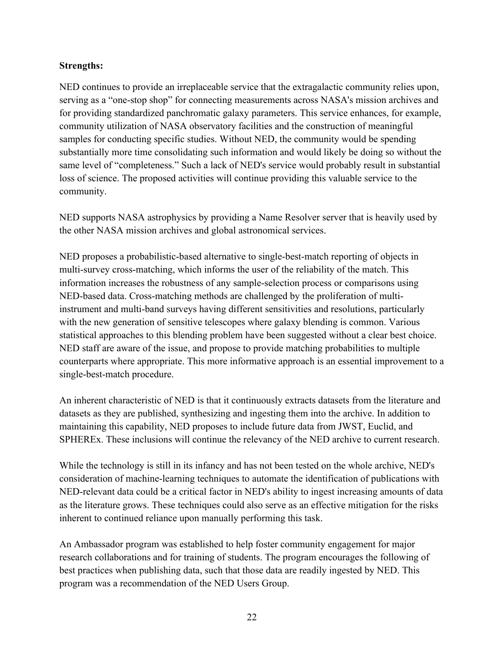#### **Strengths:**

NED continues to provide an irreplaceable service that the extragalactic community relies upon, serving as a "one-stop shop" for connecting measurements across NASA's mission archives and for providing standardized panchromatic galaxy parameters. This service enhances, for example, community utilization of NASA observatory facilities and the construction of meaningful samples for conducting specific studies. Without NED, the community would be spending substantially more time consolidating such information and would likely be doing so without the same level of "completeness." Such a lack of NED's service would probably result in substantial loss of science. The proposed activities will continue providing this valuable service to the community.

NED supports NASA astrophysics by providing a Name Resolver server that is heavily used by the other NASA mission archives and global astronomical services.

NED proposes a probabilistic-based alternative to single-best-match reporting of objects in multi-survey cross-matching, which informs the user of the reliability of the match. This information increases the robustness of any sample-selection process or comparisons using NED-based data. Cross-matching methods are challenged by the proliferation of multiinstrument and multi-band surveys having different sensitivities and resolutions, particularly with the new generation of sensitive telescopes where galaxy blending is common. Various statistical approaches to this blending problem have been suggested without a clear best choice. NED staff are aware of the issue, and propose to provide matching probabilities to multiple counterparts where appropriate. This more informative approach is an essential improvement to a single-best-match procedure.

An inherent characteristic of NED is that it continuously extracts datasets from the literature and datasets as they are published, synthesizing and ingesting them into the archive. In addition to maintaining this capability, NED proposes to include future data from JWST, Euclid, and SPHEREx. These inclusions will continue the relevancy of the NED archive to current research.

While the technology is still in its infancy and has not been tested on the whole archive, NED's consideration of machine-learning techniques to automate the identification of publications with NED-relevant data could be a critical factor in NED's ability to ingest increasing amounts of data as the literature grows. These techniques could also serve as an effective mitigation for the risks inherent to continued reliance upon manually performing this task.

An Ambassador program was established to help foster community engagement for major research collaborations and for training of students. The program encourages the following of best practices when publishing data, such that those data are readily ingested by NED. This program was a recommendation of the NED Users Group.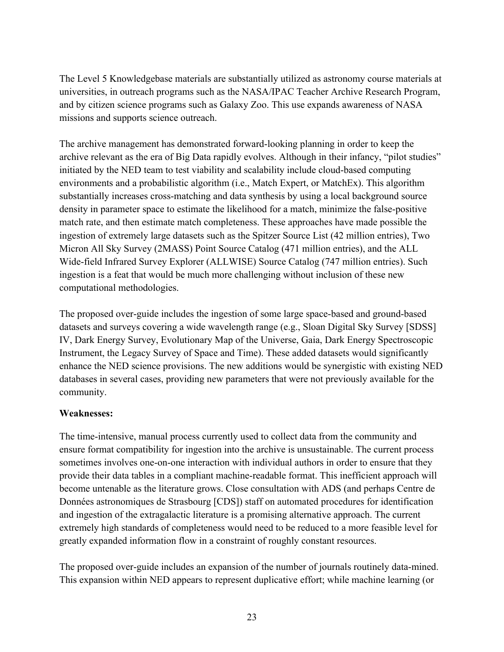The Level 5 Knowledgebase materials are substantially utilized as astronomy course materials at universities, in outreach programs such as the NASA/IPAC Teacher Archive Research Program, and by citizen science programs such as Galaxy Zoo. This use expands awareness of NASA missions and supports science outreach.

The archive management has demonstrated forward-looking planning in order to keep the archive relevant as the era of Big Data rapidly evolves. Although in their infancy, "pilot studies" initiated by the NED team to test viability and scalability include cloud-based computing environments and a probabilistic algorithm (i.e., Match Expert, or MatchEx). This algorithm substantially increases cross-matching and data synthesis by using a local background source density in parameter space to estimate the likelihood for a match, minimize the false-positive match rate, and then estimate match completeness. These approaches have made possible the ingestion of extremely large datasets such as the Spitzer Source List (42 million entries), Two Micron All Sky Survey (2MASS) Point Source Catalog (471 million entries), and the ALL Wide-field Infrared Survey Explorer (ALLWISE) Source Catalog (747 million entries). Such ingestion is a feat that would be much more challenging without inclusion of these new computational methodologies.

The proposed over-guide includes the ingestion of some large space-based and ground-based datasets and surveys covering a wide wavelength range (e.g., Sloan Digital Sky Survey [SDSS] IV, Dark Energy Survey, Evolutionary Map of the Universe, Gaia, Dark Energy Spectroscopic Instrument, the Legacy Survey of Space and Time). These added datasets would significantly enhance the NED science provisions. The new additions would be synergistic with existing NED databases in several cases, providing new parameters that were not previously available for the community.

#### **Weaknesses:**

The time-intensive, manual process currently used to collect data from the community and ensure format compatibility for ingestion into the archive is unsustainable. The current process sometimes involves one-on-one interaction with individual authors in order to ensure that they provide their data tables in a compliant machine-readable format. This inefficient approach will become untenable as the literature grows. Close consultation with ADS (and perhaps Centre de Données astronomiques de Strasbourg [CDS]) staff on automated procedures for identification and ingestion of the extragalactic literature is a promising alternative approach. The current extremely high standards of completeness would need to be reduced to a more feasible level for greatly expanded information flow in a constraint of roughly constant resources.

The proposed over-guide includes an expansion of the number of journals routinely data-mined. This expansion within NED appears to represent duplicative effort; while machine learning (or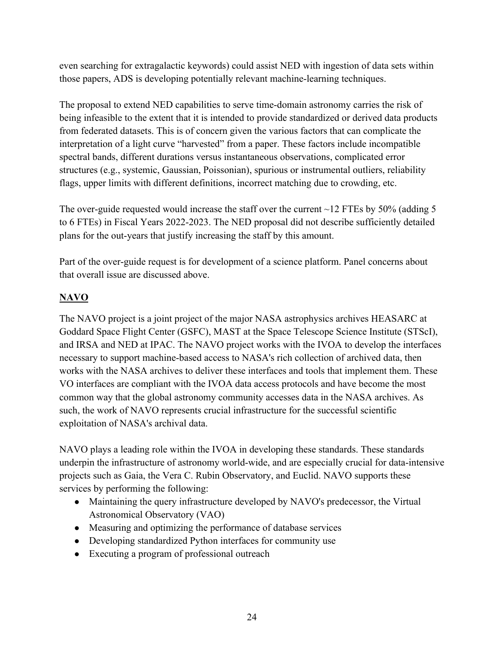even searching for extragalactic keywords) could assist NED with ingestion of data sets within those papers, ADS is developing potentially relevant machine-learning techniques.

The proposal to extend NED capabilities to serve time-domain astronomy carries the risk of being infeasible to the extent that it is intended to provide standardized or derived data products from federated datasets. This is of concern given the various factors that can complicate the interpretation of a light curve "harvested" from a paper. These factors include incompatible spectral bands, different durations versus instantaneous observations, complicated error structures (e.g., systemic, Gaussian, Poissonian), spurious or instrumental outliers, reliability flags, upper limits with different definitions, incorrect matching due to crowding, etc.

The over-guide requested would increase the staff over the current  $\sim$ 12 FTEs by 50% (adding 5 to 6 FTEs) in Fiscal Years 2022-2023. The NED proposal did not describe sufficiently detailed plans for the out-years that justify increasing the staff by this amount.

Part of the over-guide request is for development of a science platform. Panel concerns about that overall issue are discussed above.

## **NAVO**

The NAVO project is a joint project of the major NASA astrophysics archives HEASARC at Goddard Space Flight Center (GSFC), MAST at the Space Telescope Science Institute (STScI), and IRSA and NED at IPAC. The NAVO project works with the IVOA to develop the interfaces necessary to support machine-based access to NASA's rich collection of archived data, then works with the NASA archives to deliver these interfaces and tools that implement them. These VO interfaces are compliant with the IVOA data access protocols and have become the most common way that the global astronomy community accesses data in the NASA archives. As such, the work of NAVO represents crucial infrastructure for the successful scientific exploitation of NASA's archival data.

NAVO plays a leading role within the IVOA in developing these standards. These standards underpin the infrastructure of astronomy world-wide, and are especially crucial for data-intensive projects such as Gaia, the Vera C. Rubin Observatory, and Euclid. NAVO supports these services by performing the following:

- Maintaining the query infrastructure developed by NAVO's predecessor, the Virtual Astronomical Observatory (VAO)
- Measuring and optimizing the performance of database services
- Developing standardized Python interfaces for community use
- Executing a program of professional outreach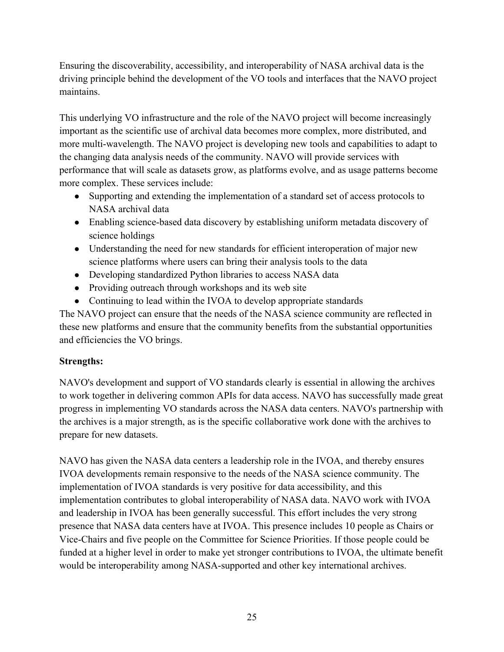Ensuring the discoverability, accessibility, and interoperability of NASA archival data is the driving principle behind the development of the VO tools and interfaces that the NAVO project maintains.

This underlying VO infrastructure and the role of the NAVO project will become increasingly important as the scientific use of archival data becomes more complex, more distributed, and more multi-wavelength. The NAVO project is developing new tools and capabilities to adapt to the changing data analysis needs of the community. NAVO will provide services with performance that will scale as datasets grow, as platforms evolve, and as usage patterns become more complex. These services include:

- Supporting and extending the implementation of a standard set of access protocols to NASA archival data
- Enabling science-based data discovery by establishing uniform metadata discovery of science holdings
- Understanding the need for new standards for efficient interoperation of major new science platforms where users can bring their analysis tools to the data
- Developing standardized Python libraries to access NASA data
- Providing outreach through workshops and its web site
- Continuing to lead within the IVOA to develop appropriate standards

The NAVO project can ensure that the needs of the NASA science community are reflected in these new platforms and ensure that the community benefits from the substantial opportunities and efficiencies the VO brings.

## **Strengths:**

NAVO's development and support of VO standards clearly is essential in allowing the archives to work together in delivering common APIs for data access. NAVO has successfully made great progress in implementing VO standards across the NASA data centers. NAVO's partnership with the archives is a major strength, as is the specific collaborative work done with the archives to prepare for new datasets.

NAVO has given the NASA data centers a leadership role in the IVOA, and thereby ensures IVOA developments remain responsive to the needs of the NASA science community. The implementation of IVOA standards is very positive for data accessibility, and this implementation contributes to global interoperability of NASA data. NAVO work with IVOA and leadership in IVOA has been generally successful. This effort includes the very strong presence that NASA data centers have at IVOA. This presence includes 10 people as Chairs or Vice-Chairs and five people on the Committee for Science Priorities. If those people could be funded at a higher level in order to make yet stronger contributions to IVOA, the ultimate benefit would be interoperability among NASA-supported and other key international archives.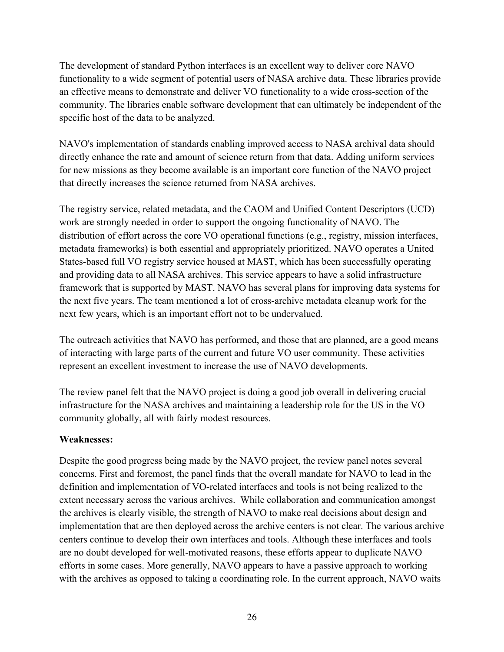The development of standard Python interfaces is an excellent way to deliver core NAVO functionality to a wide segment of potential users of NASA archive data. These libraries provide an effective means to demonstrate and deliver VO functionality to a wide cross-section of the community. The libraries enable software development that can ultimately be independent of the specific host of the data to be analyzed.

NAVO's implementation of standards enabling improved access to NASA archival data should directly enhance the rate and amount of science return from that data. Adding uniform services for new missions as they become available is an important core function of the NAVO project that directly increases the science returned from NASA archives.

The registry service, related metadata, and the CAOM and Unified Content Descriptors (UCD) work are strongly needed in order to support the ongoing functionality of NAVO. The distribution of effort across the core VO operational functions (e.g., registry, mission interfaces, metadata frameworks) is both essential and appropriately prioritized. NAVO operates a United States-based full VO registry service housed at MAST, which has been successfully operating and providing data to all NASA archives. This service appears to have a solid infrastructure framework that is supported by MAST. NAVO has several plans for improving data systems for the next five years. The team mentioned a lot of cross-archive metadata cleanup work for the next few years, which is an important effort not to be undervalued.

The outreach activities that NAVO has performed, and those that are planned, are a good means of interacting with large parts of the current and future VO user community. These activities represent an excellent investment to increase the use of NAVO developments.

The review panel felt that the NAVO project is doing a good job overall in delivering crucial infrastructure for the NASA archives and maintaining a leadership role for the US in the VO community globally, all with fairly modest resources.

#### **Weaknesses:**

Despite the good progress being made by the NAVO project, the review panel notes several concerns. First and foremost, the panel finds that the overall mandate for NAVO to lead in the definition and implementation of VO-related interfaces and tools is not being realized to the extent necessary across the various archives. While collaboration and communication amongst the archives is clearly visible, the strength of NAVO to make real decisions about design and implementation that are then deployed across the archive centers is not clear. The various archive centers continue to develop their own interfaces and tools. Although these interfaces and tools are no doubt developed for well-motivated reasons, these efforts appear to duplicate NAVO efforts in some cases. More generally, NAVO appears to have a passive approach to working with the archives as opposed to taking a coordinating role. In the current approach, NAVO waits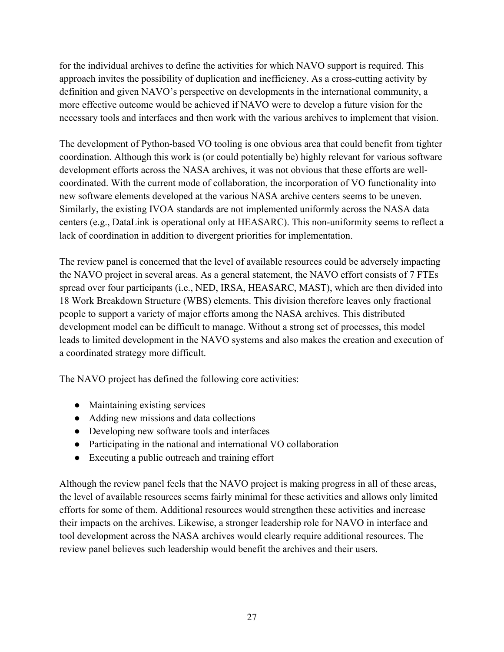for the individual archives to define the activities for which NAVO support is required. This approach invites the possibility of duplication and inefficiency. As a cross-cutting activity by definition and given NAVO's perspective on developments in the international community, a more effective outcome would be achieved if NAVO were to develop a future vision for the necessary tools and interfaces and then work with the various archives to implement that vision.

The development of Python-based VO tooling is one obvious area that could benefit from tighter coordination. Although this work is (or could potentially be) highly relevant for various software development efforts across the NASA archives, it was not obvious that these efforts are wellcoordinated. With the current mode of collaboration, the incorporation of VO functionality into new software elements developed at the various NASA archive centers seems to be uneven. Similarly, the existing IVOA standards are not implemented uniformly across the NASA data centers (e.g., DataLink is operational only at HEASARC). This non-uniformity seems to reflect a lack of coordination in addition to divergent priorities for implementation.

The review panel is concerned that the level of available resources could be adversely impacting the NAVO project in several areas. As a general statement, the NAVO effort consists of 7 FTEs spread over four participants (i.e., NED, IRSA, HEASARC, MAST), which are then divided into 18 Work Breakdown Structure (WBS) elements. This division therefore leaves only fractional people to support a variety of major efforts among the NASA archives. This distributed development model can be difficult to manage. Without a strong set of processes, this model leads to limited development in the NAVO systems and also makes the creation and execution of a coordinated strategy more difficult.

The NAVO project has defined the following core activities:

- Maintaining existing services
- Adding new missions and data collections
- Developing new software tools and interfaces
- Participating in the national and international VO collaboration
- Executing a public outreach and training effort

Although the review panel feels that the NAVO project is making progress in all of these areas, the level of available resources seems fairly minimal for these activities and allows only limited efforts for some of them. Additional resources would strengthen these activities and increase their impacts on the archives. Likewise, a stronger leadership role for NAVO in interface and tool development across the NASA archives would clearly require additional resources. The review panel believes such leadership would benefit the archives and their users.